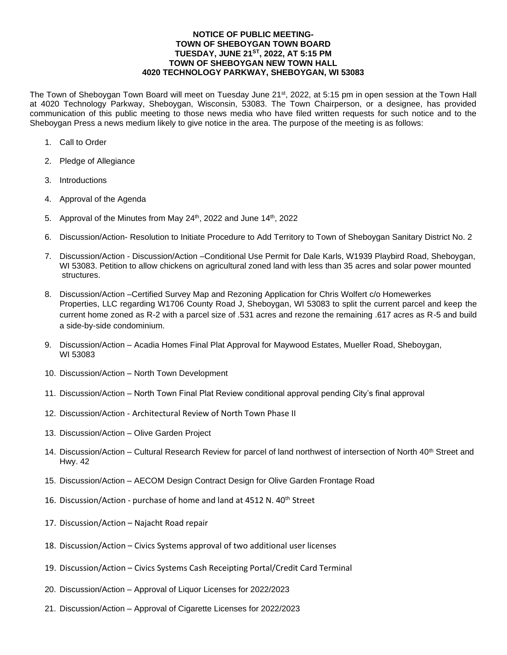## **NOTICE OF PUBLIC MEETING-TOWN OF SHEBOYGAN TOWN BOARD TUESDAY, JUNE 21ST, 2022, AT 5:15 PM TOWN OF SHEBOYGAN NEW TOWN HALL 4020 TECHNOLOGY PARKWAY, SHEBOYGAN, WI 53083**

The Town of Sheboygan Town Board will meet on Tuesday June 21st, 2022, at 5:15 pm in open session at the Town Hall at 4020 Technology Parkway, Sheboygan, Wisconsin, 53083. The Town Chairperson, or a designee, has provided communication of this public meeting to those news media who have filed written requests for such notice and to the Sheboygan Press a news medium likely to give notice in the area. The purpose of the meeting is as follows:

- 1. Call to Order
- 2. Pledge of Allegiance
- 3. Introductions
- 4. Approval of the Agenda
- 5. Approval of the Minutes from May 24<sup>th</sup>, 2022 and June 14<sup>th</sup>, 2022
- 6. Discussion/Action- Resolution to Initiate Procedure to Add Territory to Town of Sheboygan Sanitary District No. 2
- 7. Discussion/Action Discussion/Action –Conditional Use Permit for Dale Karls, W1939 Playbird Road, Sheboygan, WI 53083. Petition to allow chickens on agricultural zoned land with less than 35 acres and solar power mounted structures.
- 8. Discussion/Action –Certified Survey Map and Rezoning Application for Chris Wolfert c/o Homewerkes Properties, LLC regarding W1706 County Road J, Sheboygan, WI 53083 to split the current parcel and keep the current home zoned as R-2 with a parcel size of .531 acres and rezone the remaining .617 acres as R-5 and build a side-by-side condominium.
- 9. Discussion/Action Acadia Homes Final Plat Approval for Maywood Estates, Mueller Road, Sheboygan, WI 53083
- 10. Discussion/Action North Town Development
- 11. Discussion/Action North Town Final Plat Review conditional approval pending City's final approval
- 12. Discussion/Action Architectural Review of North Town Phase II
- 13. Discussion/Action Olive Garden Project
- 14. Discussion/Action Cultural Research Review for parcel of land northwest of intersection of North 40<sup>th</sup> Street and Hwy. 42
- 15. Discussion/Action AECOM Design Contract Design for Olive Garden Frontage Road
- 16. Discussion/Action purchase of home and land at 4512 N. 40<sup>th</sup> Street
- 17. Discussion/Action Najacht Road repair
- 18. Discussion/Action Civics Systems approval of two additional user licenses
- 19. Discussion/Action Civics Systems Cash Receipting Portal/Credit Card Terminal
- 20. Discussion/Action Approval of Liquor Licenses for 2022/2023
- 21. Discussion/Action Approval of Cigarette Licenses for 2022/2023